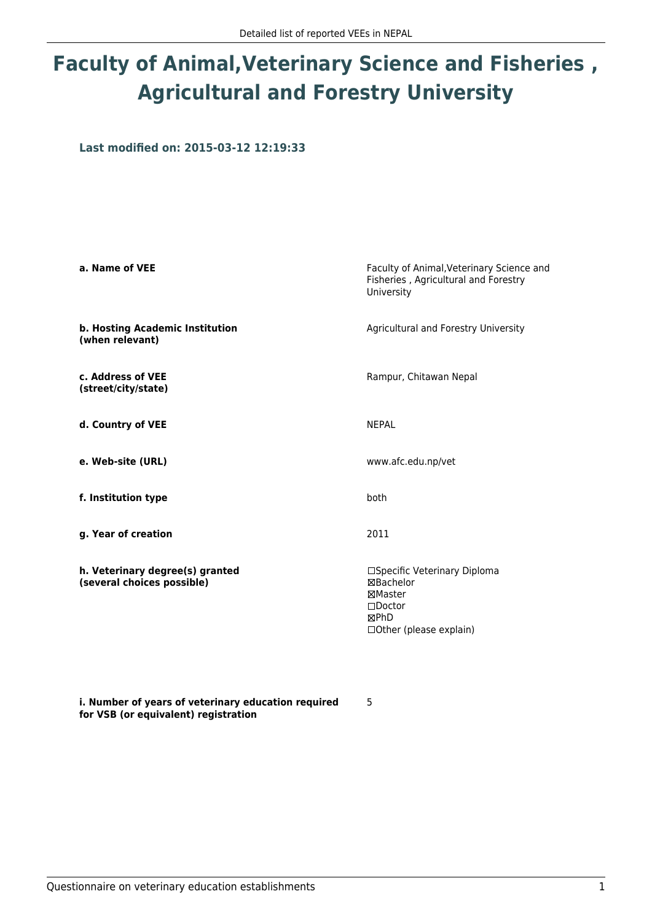# **Faculty of Animal,Veterinary Science and Fisheries , Agricultural and Forestry University**

**Last modified on: 2015-03-12 12:19:33**

| a. Name of VEE                                                | Faculty of Animal, Veterinary Science and<br>Fisheries, Agricultural and Forestry<br>University           |
|---------------------------------------------------------------|-----------------------------------------------------------------------------------------------------------|
| b. Hosting Academic Institution<br>(when relevant)            | Agricultural and Forestry University                                                                      |
| c. Address of VEE<br>(street/city/state)                      | Rampur, Chitawan Nepal                                                                                    |
| d. Country of VEE                                             | <b>NFPAI</b>                                                                                              |
| e. Web-site (URL)                                             | www.afc.edu.np/vet                                                                                        |
| f. Institution type                                           | both                                                                                                      |
| g. Year of creation                                           | 2011                                                                                                      |
| h. Veterinary degree(s) granted<br>(several choices possible) | □Specific Veterinary Diploma<br>⊠Bachelor<br>⊠Master<br>$\Box$ Doctor<br>⊠PhD<br>□ Other (please explain) |

5

**i. Number of years of veterinary education required for VSB (or equivalent) registration**

Questionnaire on veterinary education establishments 1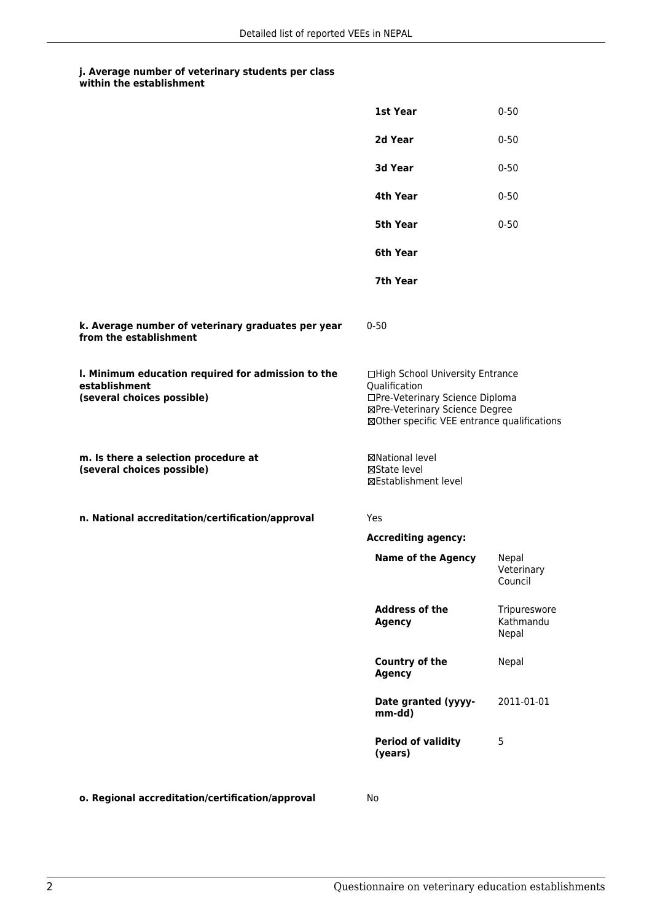|                                                                                                   | 1st Year                                                                                                                                                              | $0 - 50$                           |
|---------------------------------------------------------------------------------------------------|-----------------------------------------------------------------------------------------------------------------------------------------------------------------------|------------------------------------|
|                                                                                                   | 2d Year                                                                                                                                                               | $0 - 50$                           |
|                                                                                                   | 3d Year                                                                                                                                                               | $0 - 50$                           |
|                                                                                                   | 4th Year                                                                                                                                                              | $0 - 50$                           |
|                                                                                                   | <b>5th Year</b>                                                                                                                                                       | $0 - 50$                           |
|                                                                                                   | 6th Year                                                                                                                                                              |                                    |
|                                                                                                   | 7th Year                                                                                                                                                              |                                    |
| k. Average number of veterinary graduates per year<br>from the establishment                      | $0 - 50$                                                                                                                                                              |                                    |
| I. Minimum education required for admission to the<br>establishment<br>(several choices possible) | □High School University Entrance<br>Qualification<br>□Pre-Veterinary Science Diploma<br>⊠Pre-Veterinary Science Degree<br>⊠Other specific VEE entrance qualifications |                                    |
| m. Is there a selection procedure at<br>(several choices possible)                                | ⊠National level<br>⊠State level<br>⊠Establishment level                                                                                                               |                                    |
| n. National accreditation/certification/approval                                                  | <b>Yes</b>                                                                                                                                                            |                                    |
|                                                                                                   | <b>Accrediting agency:</b>                                                                                                                                            |                                    |
|                                                                                                   | <b>Name of the Agency</b>                                                                                                                                             | Nepal<br>Veterinary<br>Council     |
|                                                                                                   | <b>Address of the</b><br><b>Agency</b>                                                                                                                                | Tripureswore<br>Kathmandu<br>Nepal |
|                                                                                                   | Country of the<br><b>Agency</b>                                                                                                                                       | Nepal                              |
|                                                                                                   | Date granted (yyyy-<br>mm-dd)                                                                                                                                         | 2011-01-01                         |
|                                                                                                   | <b>Period of validity</b><br>(years)                                                                                                                                  | 5                                  |
|                                                                                                   |                                                                                                                                                                       |                                    |

**o. Regional accreditation/certification/approval** No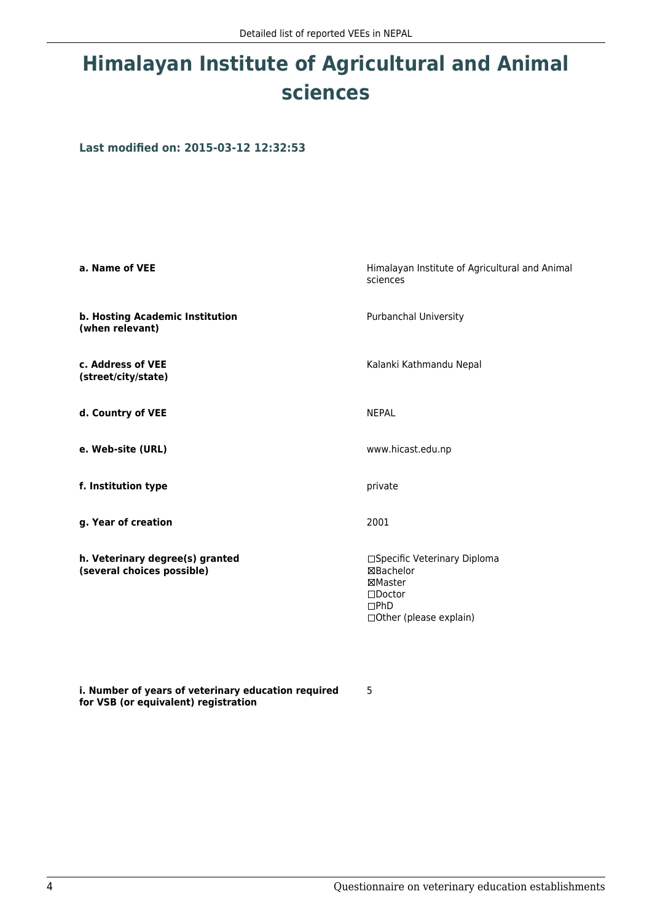# **Himalayan Institute of Agricultural and Animal sciences**

**Last modified on: 2015-03-12 12:32:53**

| a. Name of VEE                                                | Himalayan Institute of Agricultural and Animal<br>sciences                                                        |
|---------------------------------------------------------------|-------------------------------------------------------------------------------------------------------------------|
| b. Hosting Academic Institution<br>(when relevant)            | <b>Purbanchal University</b>                                                                                      |
| c. Address of VEE<br>(street/city/state)                      | Kalanki Kathmandu Nepal                                                                                           |
| d. Country of VEE                                             | <b>NEPAL</b>                                                                                                      |
| e. Web-site (URL)                                             | www.hicast.edu.np                                                                                                 |
| f. Institution type                                           | private                                                                                                           |
| g. Year of creation                                           | 2001                                                                                                              |
| h. Veterinary degree(s) granted<br>(several choices possible) | □Specific Veterinary Diploma<br>⊠Bachelor<br>⊠Master<br>$\square$ Doctor<br>$\Box$ PhD<br>□Other (please explain) |

**i. Number of years of veterinary education required for VSB (or equivalent) registration**

5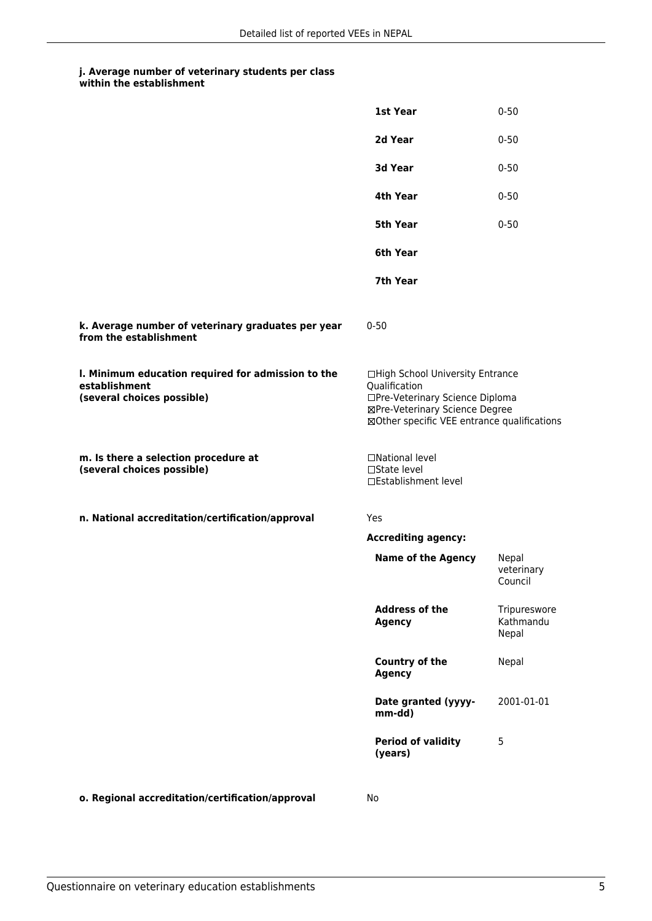|                                                                                                   | 1st Year                                                                                                                                                              | $0 - 50$                           |
|---------------------------------------------------------------------------------------------------|-----------------------------------------------------------------------------------------------------------------------------------------------------------------------|------------------------------------|
|                                                                                                   | 2d Year                                                                                                                                                               | $0 - 50$                           |
|                                                                                                   | 3d Year                                                                                                                                                               | $0 - 50$                           |
|                                                                                                   | 4th Year                                                                                                                                                              | $0 - 50$                           |
|                                                                                                   | <b>5th Year</b>                                                                                                                                                       | $0 - 50$                           |
|                                                                                                   | 6th Year                                                                                                                                                              |                                    |
|                                                                                                   | 7th Year                                                                                                                                                              |                                    |
| k. Average number of veterinary graduates per year<br>from the establishment                      | $0 - 50$                                                                                                                                                              |                                    |
| I. Minimum education required for admission to the<br>establishment<br>(several choices possible) | □High School University Entrance<br>Qualification<br>□Pre-Veterinary Science Diploma<br>⊠Pre-Veterinary Science Degree<br>⊠Other specific VEE entrance qualifications |                                    |
| m. Is there a selection procedure at<br>(several choices possible)                                | □National level<br>$\Box$ State level<br>□Establishment level                                                                                                         |                                    |
| n. National accreditation/certification/approval                                                  | Yes                                                                                                                                                                   |                                    |
|                                                                                                   | <b>Accrediting agency:</b>                                                                                                                                            |                                    |
|                                                                                                   | <b>Name of the Agency</b>                                                                                                                                             | Nepal<br>veterinary<br>Council     |
|                                                                                                   | <b>Address of the</b><br><b>Agency</b>                                                                                                                                | Tripureswore<br>Kathmandu<br>Nepal |
|                                                                                                   | <b>Country of the</b><br><b>Agency</b>                                                                                                                                | Nepal                              |
|                                                                                                   | Date granted (yyyy-<br>mm-dd)                                                                                                                                         | 2001-01-01                         |
|                                                                                                   | <b>Period of validity</b><br>(years)                                                                                                                                  | 5                                  |
|                                                                                                   |                                                                                                                                                                       |                                    |

**o. Regional accreditation/certification/approval** No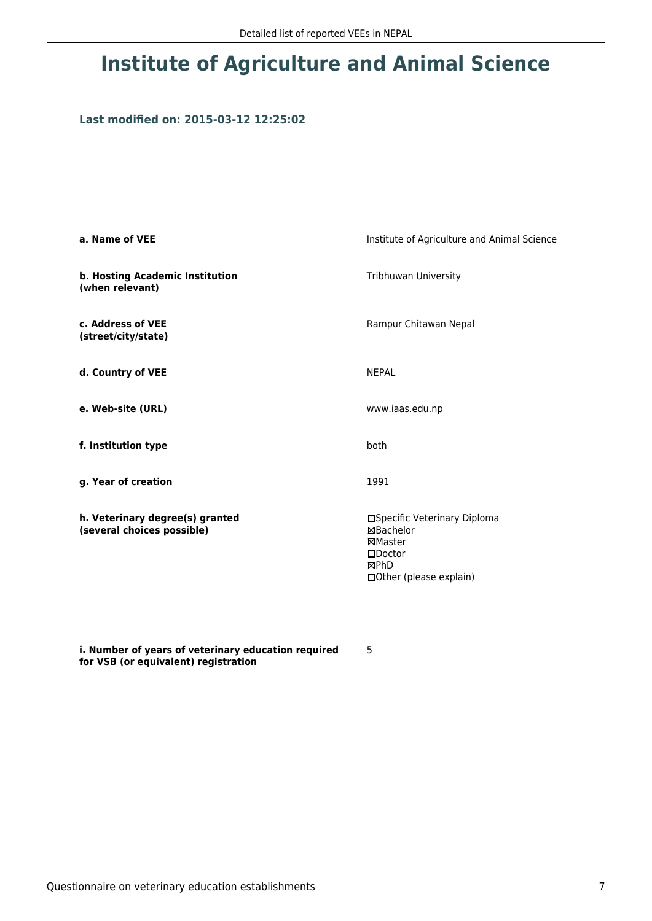## **Institute of Agriculture and Animal Science**

## **Last modified on: 2015-03-12 12:25:02**

| a. Name of VEE                                                | Institute of Agriculture and Animal Science                                                                        |
|---------------------------------------------------------------|--------------------------------------------------------------------------------------------------------------------|
| b. Hosting Academic Institution<br>(when relevant)            | Tribhuwan University                                                                                               |
| c. Address of VEE<br>(street/city/state)                      | Rampur Chitawan Nepal                                                                                              |
| d. Country of VEE                                             | <b>NEPAL</b>                                                                                                       |
| e. Web-site (URL)                                             | www.iaas.edu.np                                                                                                    |
| f. Institution type                                           | both                                                                                                               |
| g. Year of creation                                           | 1991                                                                                                               |
| h. Veterinary degree(s) granted<br>(several choices possible) | □Specific Veterinary Diploma<br><b>⊠Bachelor</b><br>⊠Master<br>$\square$ Doctor<br>⊠PhD<br>□Other (please explain) |

**i. Number of years of veterinary education required for VSB (or equivalent) registration**

5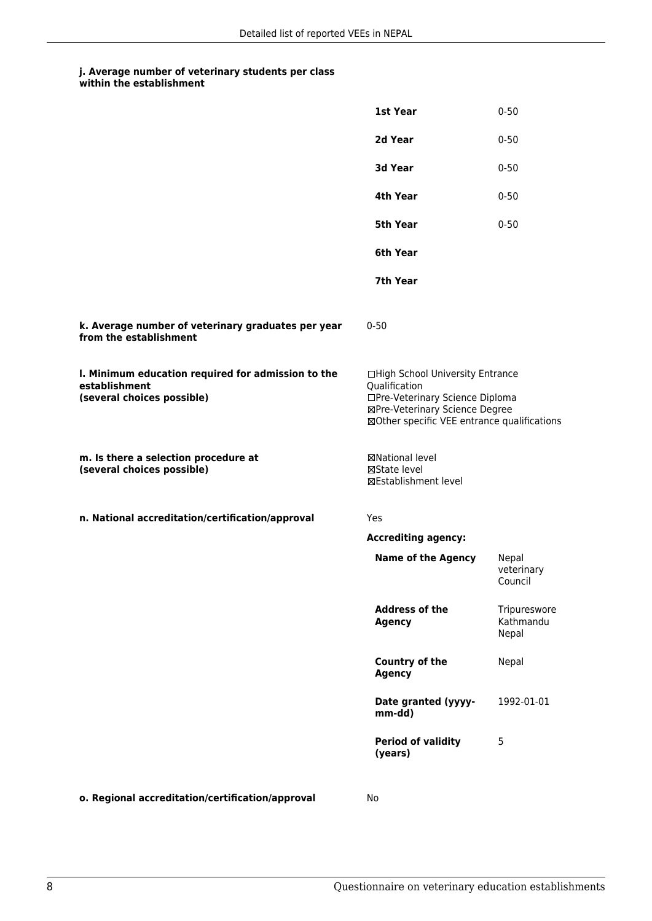|                                                                                                   | 1st Year                                                                                                                                                              | $0 - 50$                           |
|---------------------------------------------------------------------------------------------------|-----------------------------------------------------------------------------------------------------------------------------------------------------------------------|------------------------------------|
|                                                                                                   | 2d Year                                                                                                                                                               | $0 - 50$                           |
|                                                                                                   | 3d Year                                                                                                                                                               | $0 - 50$                           |
|                                                                                                   | 4th Year                                                                                                                                                              | $0 - 50$                           |
|                                                                                                   | <b>5th Year</b>                                                                                                                                                       | $0 - 50$                           |
|                                                                                                   | 6th Year                                                                                                                                                              |                                    |
|                                                                                                   | 7th Year                                                                                                                                                              |                                    |
| k. Average number of veterinary graduates per year<br>from the establishment                      | $0 - 50$                                                                                                                                                              |                                    |
| I. Minimum education required for admission to the<br>establishment<br>(several choices possible) | □High School University Entrance<br>Qualification<br>□Pre-Veterinary Science Diploma<br>⊠Pre-Veterinary Science Degree<br>⊠Other specific VEE entrance qualifications |                                    |
| m. Is there a selection procedure at<br>(several choices possible)                                | ⊠National level<br>⊠State level<br>⊠Establishment level                                                                                                               |                                    |
| n. National accreditation/certification/approval                                                  | Yes                                                                                                                                                                   |                                    |
|                                                                                                   | <b>Accrediting agency:</b>                                                                                                                                            |                                    |
|                                                                                                   | <b>Name of the Agency</b>                                                                                                                                             | Nepal<br>veterinary<br>Council     |
|                                                                                                   | <b>Address of the</b><br><b>Agency</b>                                                                                                                                | Tripureswore<br>Kathmandu<br>Nepal |
|                                                                                                   | Country of the<br><b>Agency</b>                                                                                                                                       | Nepal                              |
|                                                                                                   | Date granted (yyyy-<br>mm-dd)                                                                                                                                         | 1992-01-01                         |
|                                                                                                   | <b>Period of validity</b><br>(years)                                                                                                                                  | 5                                  |
|                                                                                                   |                                                                                                                                                                       |                                    |

**o. Regional accreditation/certification/approval** No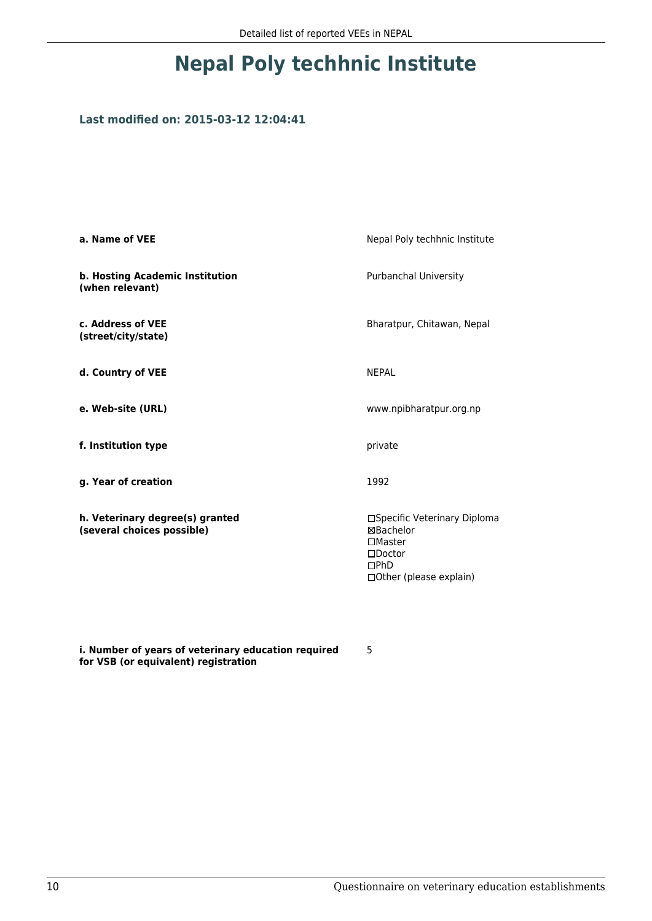## **Nepal Poly techhnic Institute**

## **Last modified on: 2015-03-12 12:04:41**

| a. Name of VEE                                                | Nepal Poly techhnic Institute                                                                                             |
|---------------------------------------------------------------|---------------------------------------------------------------------------------------------------------------------------|
| b. Hosting Academic Institution<br>(when relevant)            | <b>Purbanchal University</b>                                                                                              |
| c. Address of VEE<br>(street/city/state)                      | Bharatpur, Chitawan, Nepal                                                                                                |
| d. Country of VEE                                             | <b>NEPAL</b>                                                                                                              |
| e. Web-site (URL)                                             | www.npibharatpur.org.np                                                                                                   |
| f. Institution type                                           | private                                                                                                                   |
| g. Year of creation                                           | 1992                                                                                                                      |
| h. Veterinary degree(s) granted<br>(several choices possible) | □Specific Veterinary Diploma<br><b>⊠Bachelor</b><br>$\Box$ Master<br>$\square$ Doctor<br>DPhD<br>□ Other (please explain) |

**i. Number of years of veterinary education required for VSB (or equivalent) registration**

5